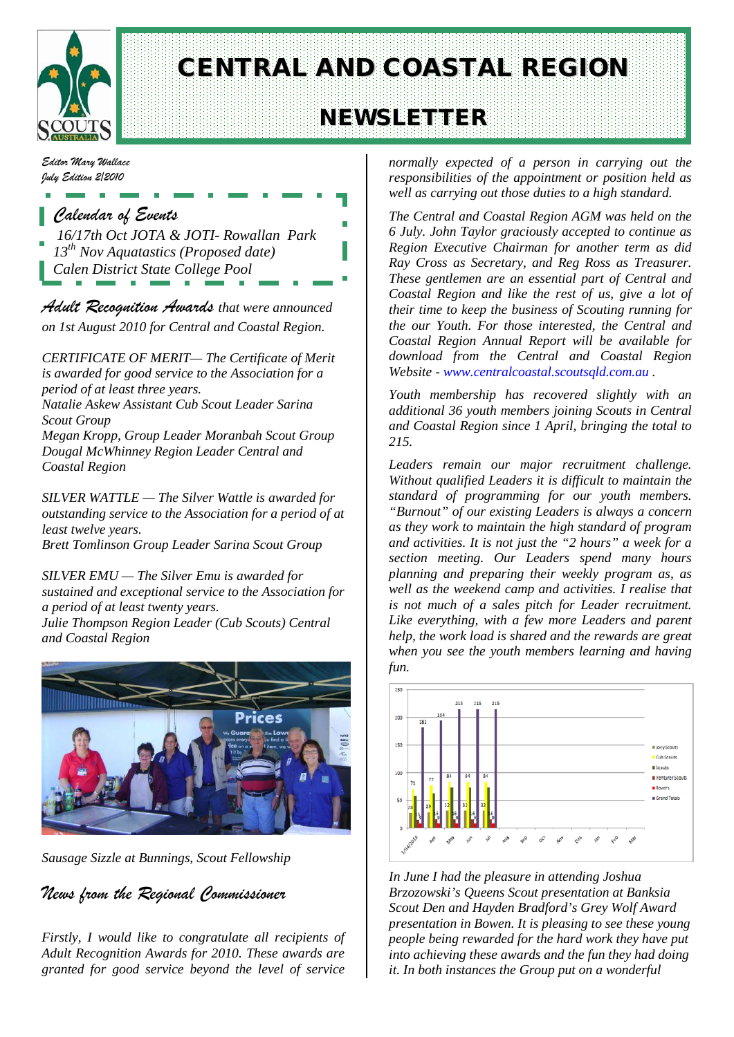

# CENTRAL AND COASTAL REGION

# NEWSLETTER

*Editor Mary Wallace July Edition 2/2010*

## *Calendar of Events*

*16/17th Oct JOTA & JOTI- Rowallan Park 13th Nov Aquatastics (Proposed date) Calen District State College Pool*

*Adult Recognition Awards that were announced on 1st August 2010 for Central and Coastal Region.*

*CERTIFICATE OF MERIT— The Certificate of Merit is awarded for good service to the Association for a period of at least three years.* 

*Natalie Askew Assistant Cub Scout Leader Sarina Scout Group*

*Megan Kropp, Group Leader Moranbah Scout Group Dougal McWhinney Region Leader Central and Coastal Region*

*SILVER WATTLE — The Silver Wattle is awarded for outstanding service to the Association for a period of at least twelve years. Brett Tomlinson Group Leader Sarina Scout Group*

*SILVER EMU — The Silver Emu is awarded for sustained and exceptional service to the Association for a period of at least twenty years. Julie Thompson Region Leader (Cub Scouts) Central and Coastal Region*



*Sausage Sizzle at Bunnings, Scout Fellowship*

*News from the Regional Commissioner*

*Firstly, I would like to congratulate all recipients of Adult Recognition Awards for 2010. These awards are granted for good service beyond the level of service* 

*normally expected of a person in carrying out the responsibilities of the appointment or position held as well as carrying out those duties to a high standard.*

*The Central and Coastal Region AGM was held on the 6 July. John Taylor graciously accepted to continue as Region Executive Chairman for another term as did Ray Cross as Secretary, and Reg Ross as Treasurer. These gentlemen are an essential part of Central and Coastal Region and like the rest of us, give a lot of their time to keep the business of Scouting running for the our Youth. For those interested, the Central and Coastal Region Annual Report will be available for download from the Central and Coastal Region Website - [www.centralcoastal.scoutsqld.com.au](http://www.centralcoastal.scoutsqld.com.au/) .*

*Youth membership has recovered slightly with an additional 36 youth members joining Scouts in Central and Coastal Region since 1 April, bringing the total to 215.*

*Leaders remain our major recruitment challenge. Without qualified Leaders it is difficult to maintain the standard of programming for our youth members. "Burnout" of our existing Leaders is always a concern as they work to maintain the high standard of program and activities. It is not just the "2 hours" a week for a section meeting. Our Leaders spend many hours planning and preparing their weekly program as, as well as the weekend camp and activities. I realise that is not much of a sales pitch for Leader recruitment. Like everything, with a few more Leaders and parent help, the work load is shared and the rewards are great when you see the youth members learning and having fun.*



*In June I had the pleasure in attending Joshua Brzozowski's Queens Scout presentation at Banksia Scout Den and Hayden Bradford's Grey Wolf Award presentation in Bowen. It is pleasing to see these young people being rewarded for the hard work they have put into achieving these awards and the fun they had doing it. In both instances the Group put on a wonderful*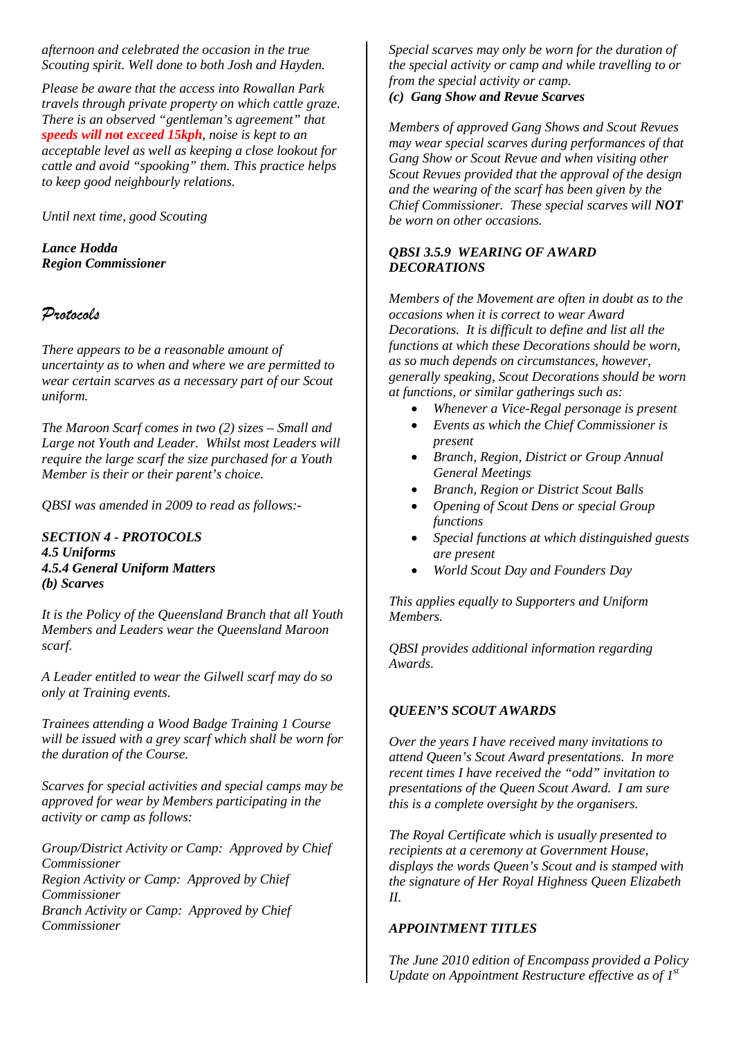*afternoon and celebrated the occasion in the true Scouting spirit. Well done to both Josh and Hayden.* 

*Please be aware that the access into Rowallan Park travels through private property on which cattle graze. There is an observed "gentleman's agreement" that speeds will not exceed 15kph, noise is kept to an acceptable level as well as keeping a close lookout for cattle and avoid "spooking" them. This practice helps to keep good neighbourly relations.*

*Until next time, good Scouting*

*Lance Hodda Region Commissioner* 

### *Protocols*

*There appears to be a reasonable amount of uncertainty as to when and where we are permitted to wear certain scarves as a necessary part of our Scout uniform.* 

*The Maroon Scarf comes in two (2) sizes – Small and Large not Youth and Leader. Whilst most Leaders will require the large scarf the size purchased for a Youth Member is their or their parent's choice.*

*QBSI was amended in 2009 to read as follows:-*

*SECTION 4 - PROTOCOLS 4.5 Uniforms 4.5.4 General Uniform Matters (b) Scarves*

*It is the Policy of the Queensland Branch that all Youth Members and Leaders wear the Queensland Maroon scarf.*

*A Leader entitled to wear the Gilwell scarf may do so only at Training events.* 

*Trainees attending a Wood Badge Training 1 Course will be issued with a grey scarf which shall be worn for the duration of the Course.*

*Scarves for special activities and special camps may be approved for wear by Members participating in the activity or camp as follows:*

*Group/District Activity or Camp: Approved by Chief Commissioner Region Activity or Camp: Approved by Chief Commissioner Branch Activity or Camp: Approved by Chief Commissioner*

*Special scarves may only be worn for the duration of the special activity or camp and while travelling to or from the special activity or camp.*

*(c) Gang Show and Revue Scarves*

*Members of approved Gang Shows and Scout Revues may wear special scarves during performances of that Gang Show or Scout Revue and when visiting other Scout Revues provided that the approval of the design and the wearing of the scarf has been given by the Chief Commissioner. These special scarves will NOT be worn on other occasions.*

#### *QBSI 3.5.9 WEARING OF AWARD DECORATIONS*

*Members of the Movement are often in doubt as to the occasions when it is correct to wear Award Decorations. It is difficult to define and list all the functions at which these Decorations should be worn, as so much depends on circumstances, however, generally speaking, Scout Decorations should be worn at functions, or similar gatherings such as:*

- *Whenever a Vice-Regal personage is present*
- *Events as which the Chief Commissioner is present*
- *Branch, Region, District or Group Annual General Meetings*
- *Branch, Region or District Scout Balls*
- *Opening of Scout Dens or special Group functions*
- *Special functions at which distinguished guests are present*
- *World Scout Day and Founders Day*

*This applies equally to Supporters and Uniform Members.*

*QBSI provides additional information regarding Awards.*

### *QUEEN'S SCOUT AWARDS*

*Over the years I have received many invitations to attend Queen's Scout Award presentations. In more recent times I have received the "odd" invitation to presentations of the Queen Scout Award. I am sure this is a complete oversight by the organisers.*

*The Royal Certificate which is usually presented to recipients at a ceremony at Government House, displays the words Queen's Scout and is stamped with the signature of Her Royal Highness Queen Elizabeth II.*

#### *APPOINTMENT TITLES*

*The June 2010 edition of Encompass provided a Policy Update on Appointment Restructure effective as of 1st*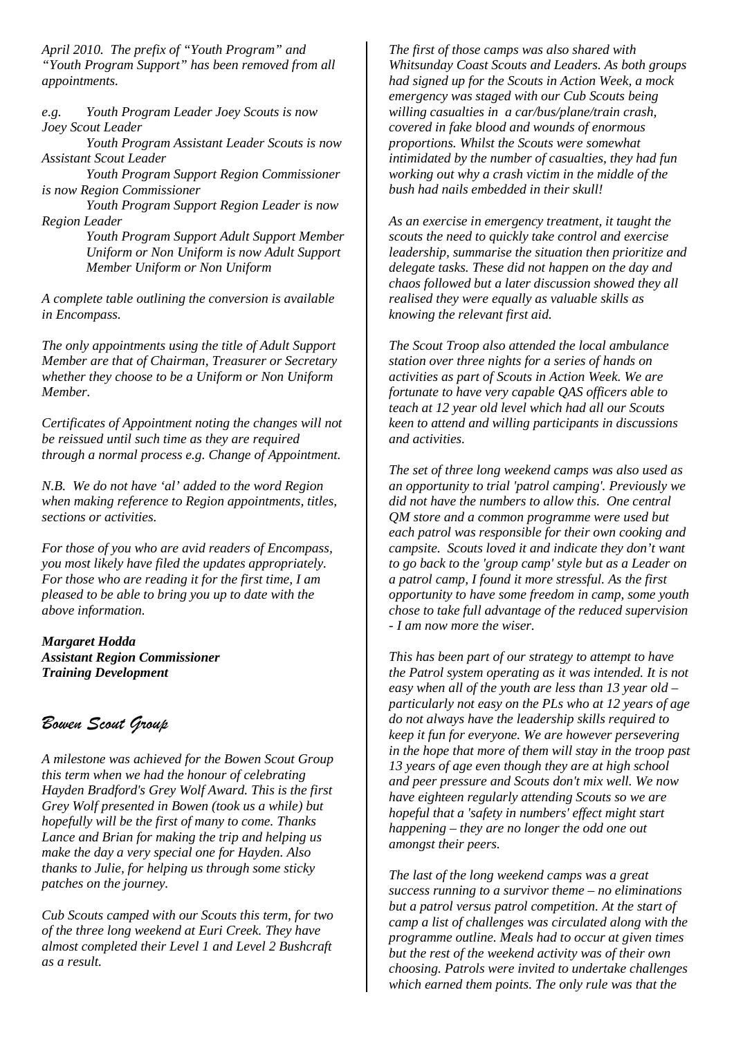*April 2010. The prefix of "Youth Program" and "Youth Program Support" has been removed from all appointments.* 

*e.g. Youth Program Leader Joey Scouts is now Joey Scout Leader*

*Youth Program Assistant Leader Scouts is now Assistant Scout Leader*

*Youth Program Support Region Commissioner is now Region Commissioner*

*Youth Program Support Region Leader is now Region Leader*

> *Youth Program Support Adult Support Member Uniform or Non Uniform is now Adult Support Member Uniform or Non Uniform*

*A complete table outlining the conversion is available in Encompass.*

*The only appointments using the title of Adult Support Member are that of Chairman, Treasurer or Secretary whether they choose to be a Uniform or Non Uniform Member.* 

*Certificates of Appointment noting the changes will not be reissued until such time as they are required through a normal process e.g. Change of Appointment.*

*N.B. We do not have 'al' added to the word Region when making reference to Region appointments, titles, sections or activities.*

*For those of you who are avid readers of Encompass, you most likely have filed the updates appropriately. For those who are reading it for the first time, I am pleased to be able to bring you up to date with the above information.*

*Margaret Hodda Assistant Region Commissioner Training Development*

## *Bowen Scout Group*

*A milestone was achieved for the Bowen Scout Group this term when we had the honour of celebrating Hayden Bradford's Grey Wolf Award. This is the first Grey Wolf presented in Bowen (took us a while) but hopefully will be the first of many to come. Thanks Lance and Brian for making the trip and helping us make the day a very special one for Hayden. Also thanks to Julie, for helping us through some sticky patches on the journey.*

*Cub Scouts camped with our Scouts this term, for two of the three long weekend at Euri Creek. They have almost completed their Level 1 and Level 2 Bushcraft as a result.* 

*The first of those camps was also shared with Whitsunday Coast Scouts and Leaders. As both groups had signed up for the Scouts in Action Week, a mock emergency was staged with our Cub Scouts being willing casualties in a car/bus/plane/train crash, covered in fake blood and wounds of enormous proportions. Whilst the Scouts were somewhat intimidated by the number of casualties, they had fun working out why a crash victim in the middle of the bush had nails embedded in their skull!* 

*As an exercise in emergency treatment, it taught the scouts the need to quickly take control and exercise leadership, summarise the situation then prioritize and delegate tasks. These did not happen on the day and chaos followed but a later discussion showed they all realised they were equally as valuable skills as knowing the relevant first aid.*

*The Scout Troop also attended the local ambulance station over three nights for a series of hands on activities as part of Scouts in Action Week. We are fortunate to have very capable QAS officers able to teach at 12 year old level which had all our Scouts keen to attend and willing participants in discussions and activities.* 

*The set of three long weekend camps was also used as an opportunity to trial 'patrol camping'. Previously we did not have the numbers to allow this. One central QM store and a common programme were used but each patrol was responsible for their own cooking and campsite. Scouts loved it and indicate they don't want to go back to the 'group camp' style but as a Leader on a patrol camp, I found it more stressful. As the first opportunity to have some freedom in camp, some youth chose to take full advantage of the reduced supervision - I am now more the wiser.*

*This has been part of our strategy to attempt to have the Patrol system operating as it was intended. It is not easy when all of the youth are less than 13 year old – particularly not easy on the PLs who at 12 years of age do not always have the leadership skills required to keep it fun for everyone. We are however persevering in the hope that more of them will stay in the troop past 13 years of age even though they are at high school and peer pressure and Scouts don't mix well. We now have eighteen regularly attending Scouts so we are hopeful that a 'safety in numbers' effect might start happening – they are no longer the odd one out amongst their peers.*

*The last of the long weekend camps was a great success running to a survivor theme – no eliminations but a patrol versus patrol competition. At the start of camp a list of challenges was circulated along with the programme outline. Meals had to occur at given times but the rest of the weekend activity was of their own choosing. Patrols were invited to undertake challenges which earned them points. The only rule was that the*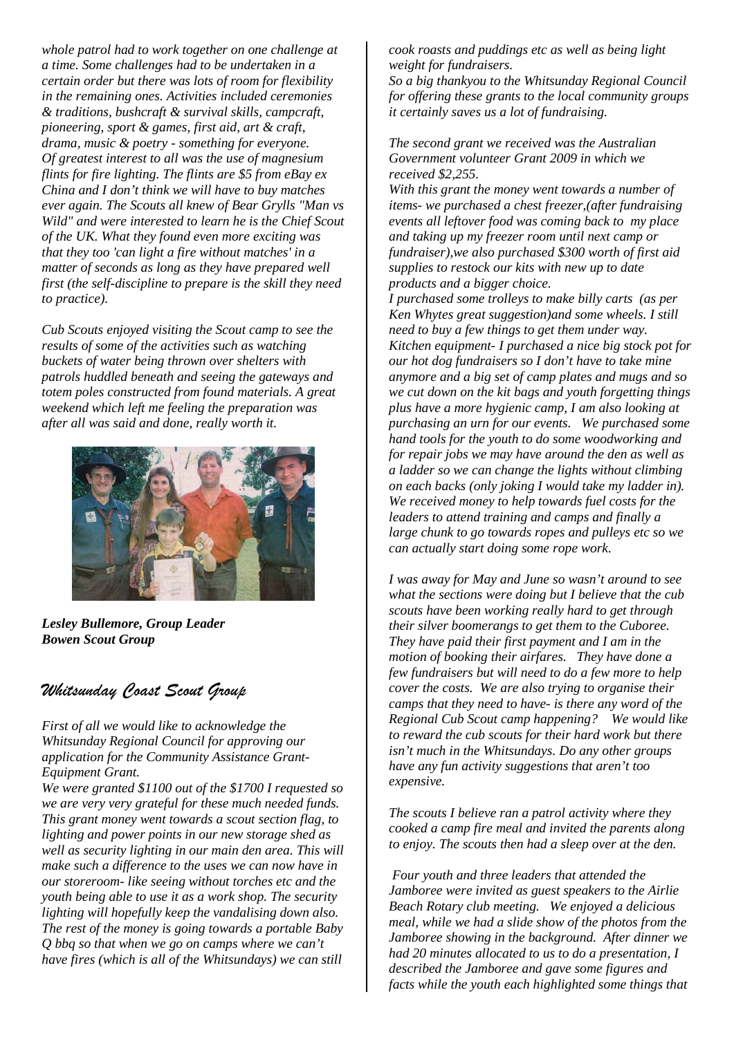*whole patrol had to work together on one challenge at a time. Some challenges had to be undertaken in a certain order but there was lots of room for flexibility in the remaining ones. Activities included ceremonies & traditions, bushcraft & survival skills, campcraft, pioneering, sport & games, first aid, art & craft, drama, music & poetry - something for everyone. Of greatest interest to all was the use of magnesium flints for fire lighting. The flints are \$5 from eBay ex China and I don't think we will have to buy matches ever again. The Scouts all knew of Bear Grylls "Man vs Wild" and were interested to learn he is the Chief Scout of the UK. What they found even more exciting was that they too 'can light a fire without matches' in a matter of seconds as long as they have prepared well first (the self-discipline to prepare is the skill they need to practice).* 

*Cub Scouts enjoyed visiting the Scout camp to see the results of some of the activities such as watching buckets of water being thrown over shelters with patrols huddled beneath and seeing the gateways and totem poles constructed from found materials. A great weekend which left me feeling the preparation was after all was said and done, really worth it.*



*Lesley Bullemore, Group Leader Bowen Scout Group*

## *Whitsunday Coast Scout Group*

*First of all we would like to acknowledge the Whitsunday Regional Council for approving our application for the Community Assistance Grant-Equipment Grant.*

*We were granted \$1100 out of the \$1700 I requested so we are very very grateful for these much needed funds. This grant money went towards a scout section flag, to lighting and power points in our new storage shed as well as security lighting in our main den area. This will make such a difference to the uses we can now have in our storeroom- like seeing without torches etc and the youth being able to use it as a work shop. The security lighting will hopefully keep the vandalising down also. The rest of the money is going towards a portable Baby Q bbq so that when we go on camps where we can't have fires (which is all of the Whitsundays) we can still* 

*cook roasts and puddings etc as well as being light weight for fundraisers.*

*So a big thankyou to the Whitsunday Regional Council for offering these grants to the local community groups it certainly saves us a lot of fundraising.*

*The second grant we received was the Australian Government volunteer Grant 2009 in which we received \$2,255.*

*With this grant the money went towards a number of items- we purchased a chest freezer,(after fundraising events all leftover food was coming back to my place and taking up my freezer room until next camp or fundraiser),we also purchased \$300 worth of first aid supplies to restock our kits with new up to date products and a bigger choice.* 

*I purchased some trolleys to make billy carts (as per Ken Whytes great suggestion)and some wheels. I still need to buy a few things to get them under way. Kitchen equipment- I purchased a nice big stock pot for our hot dog fundraisers so I don't have to take mine anymore and a big set of camp plates and mugs and so we cut down on the kit bags and youth forgetting things plus have a more hygienic camp, I am also looking at purchasing an urn for our events. We purchased some hand tools for the youth to do some woodworking and for repair jobs we may have around the den as well as a ladder so we can change the lights without climbing on each backs (only joking I would take my ladder in). We received money to help towards fuel costs for the leaders to attend training and camps and finally a large chunk to go towards ropes and pulleys etc so we can actually start doing some rope work.*

*I was away for May and June so wasn't around to see what the sections were doing but I believe that the cub scouts have been working really hard to get through their silver boomerangs to get them to the Cuboree. They have paid their first payment and I am in the motion of booking their airfares. They have done a few fundraisers but will need to do a few more to help cover the costs. We are also trying to organise their camps that they need to have- is there any word of the Regional Cub Scout camp happening? We would like to reward the cub scouts for their hard work but there isn't much in the Whitsundays. Do any other groups have any fun activity suggestions that aren't too expensive.*

*The scouts I believe ran a patrol activity where they cooked a camp fire meal and invited the parents along to enjoy. The scouts then had a sleep over at the den.* 

*Four youth and three leaders that attended the Jamboree were invited as guest speakers to the Airlie Beach Rotary club meeting. We enjoyed a delicious meal, while we had a slide show of the photos from the Jamboree showing in the background. After dinner we had 20 minutes allocated to us to do a presentation, I described the Jamboree and gave some figures and facts while the youth each highlighted some things that*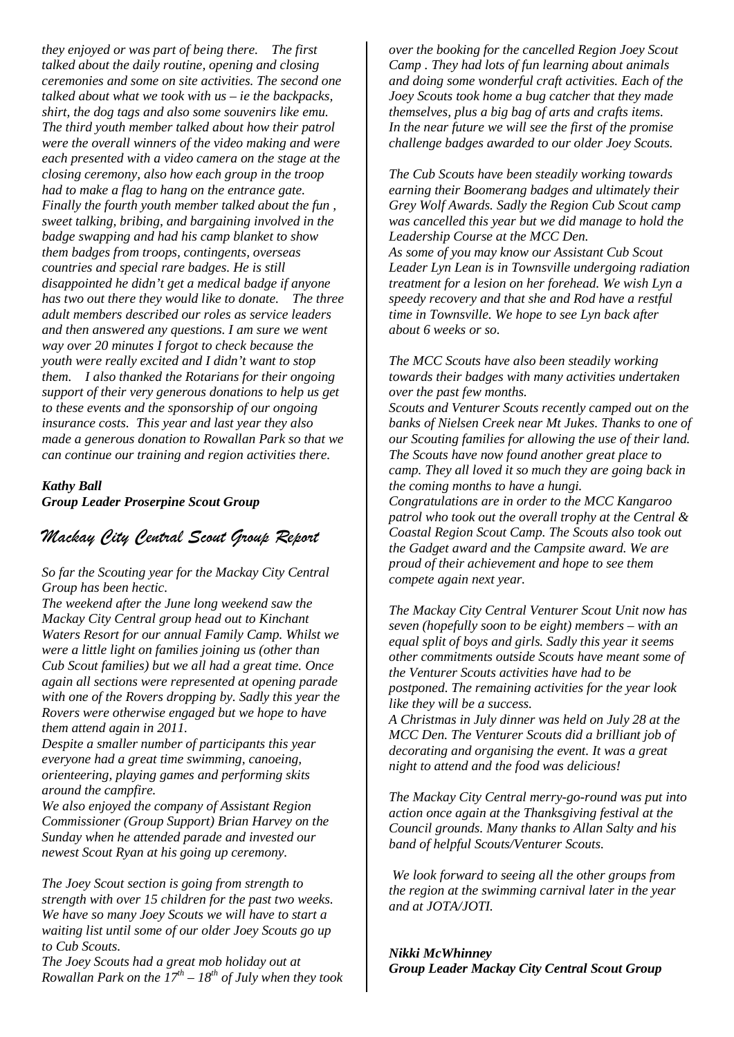*they enjoyed or was part of being there. The first talked about the daily routine, opening and closing ceremonies and some on site activities. The second one talked about what we took with us – ie the backpacks, shirt, the dog tags and also some souvenirs like emu. The third youth member talked about how their patrol were the overall winners of the video making and were each presented with a video camera on the stage at the closing ceremony, also how each group in the troop had to make a flag to hang on the entrance gate. Finally the fourth youth member talked about the fun , sweet talking, bribing, and bargaining involved in the badge swapping and had his camp blanket to show them badges from troops, contingents, overseas countries and special rare badges. He is still disappointed he didn't get a medical badge if anyone has two out there they would like to donate. The three adult members described our roles as service leaders and then answered any questions. I am sure we went way over 20 minutes I forgot to check because the youth were really excited and I didn't want to stop them. I also thanked the Rotarians for their ongoing support of their very generous donations to help us get to these events and the sponsorship of our ongoing insurance costs. This year and last year they also made a generous donation to Rowallan Park so that we can continue our training and region activities there.*

#### *Kathy Ball Group Leader Proserpine Scout Group*

## *Mackay City Central Scout Group Report*

*So far the Scouting year for the Mackay City Central Group has been hectic.*

*The weekend after the June long weekend saw the Mackay City Central group head out to Kinchant Waters Resort for our annual Family Camp. Whilst we were a little light on families joining us (other than Cub Scout families) but we all had a great time. Once again all sections were represented at opening parade with one of the Rovers dropping by. Sadly this year the Rovers were otherwise engaged but we hope to have them attend again in 2011.*

*Despite a smaller number of participants this year everyone had a great time swimming, canoeing, orienteering, playing games and performing skits around the campfire.*

*We also enjoyed the company of Assistant Region Commissioner (Group Support) Brian Harvey on the Sunday when he attended parade and invested our newest Scout Ryan at his going up ceremony.*

*The Joey Scout section is going from strength to strength with over 15 children for the past two weeks. We have so many Joey Scouts we will have to start a waiting list until some of our older Joey Scouts go up to Cub Scouts.*

*The Joey Scouts had a great mob holiday out at Rowallan Park on the*  $17^{th} - 18^{th}$  *of July when they took*  *over the booking for the cancelled Region Joey Scout Camp . They had lots of fun learning about animals and doing some wonderful craft activities. Each of the Joey Scouts took home a bug catcher that they made themselves, plus a big bag of arts and crafts items. In the near future we will see the first of the promise challenge badges awarded to our older Joey Scouts.*

*The Cub Scouts have been steadily working towards earning their Boomerang badges and ultimately their Grey Wolf Awards. Sadly the Region Cub Scout camp was cancelled this year but we did manage to hold the Leadership Course at the MCC Den. As some of you may know our Assistant Cub Scout Leader Lyn Lean is in Townsville undergoing radiation treatment for a lesion on her forehead. We wish Lyn a speedy recovery and that she and Rod have a restful time in Townsville. We hope to see Lyn back after about 6 weeks or so.*

*The MCC Scouts have also been steadily working towards their badges with many activities undertaken over the past few months.*

*Scouts and Venturer Scouts recently camped out on the banks of Nielsen Creek near Mt Jukes. Thanks to one of our Scouting families for allowing the use of their land. The Scouts have now found another great place to camp. They all loved it so much they are going back in the coming months to have a hungi.*

*Congratulations are in order to the MCC Kangaroo patrol who took out the overall trophy at the Central & Coastal Region Scout Camp. The Scouts also took out the Gadget award and the Campsite award. We are proud of their achievement and hope to see them compete again next year.*

*The Mackay City Central Venturer Scout Unit now has seven (hopefully soon to be eight) members – with an equal split of boys and girls. Sadly this year it seems other commitments outside Scouts have meant some of the Venturer Scouts activities have had to be postponed. The remaining activities for the year look like they will be a success.*

*A Christmas in July dinner was held on July 28 at the MCC Den. The Venturer Scouts did a brilliant job of decorating and organising the event. It was a great night to attend and the food was delicious!*

*The Mackay City Central merry-go-round was put into action once again at the Thanksgiving festival at the Council grounds. Many thanks to Allan Salty and his band of helpful Scouts/Venturer Scouts.*

*We look forward to seeing all the other groups from the region at the swimming carnival later in the year and at JOTA/JOTI.*

*Nikki McWhinney Group Leader Mackay City Central Scout Group*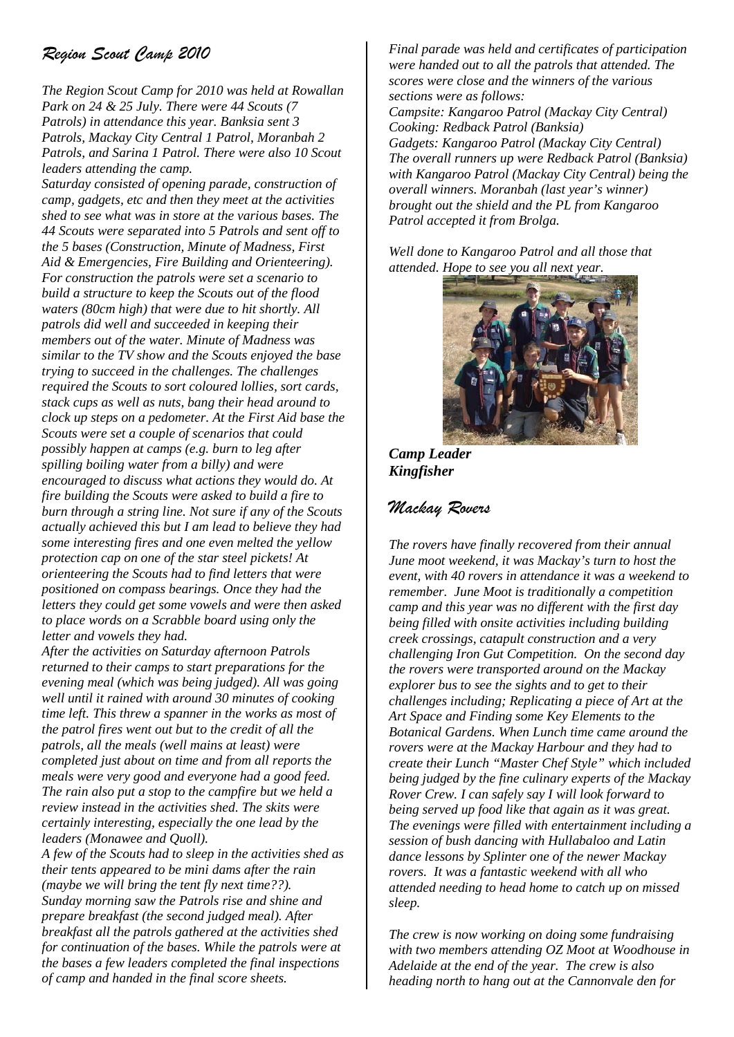# *Region Scout Camp 2010*

*The Region Scout Camp for 2010 was held at Rowallan Park on 24 & 25 July. There were 44 Scouts (7 Patrols) in attendance this year. Banksia sent 3 Patrols, Mackay City Central 1 Patrol, Moranbah 2 Patrols, and Sarina 1 Patrol. There were also 10 Scout leaders attending the camp.*

*Saturday consisted of opening parade, construction of camp, gadgets, etc and then they meet at the activities shed to see what was in store at the various bases. The 44 Scouts were separated into 5 Patrols and sent off to the 5 bases (Construction, Minute of Madness, First Aid & Emergencies, Fire Building and Orienteering). For construction the patrols were set a scenario to build a structure to keep the Scouts out of the flood waters (80cm high) that were due to hit shortly. All patrols did well and succeeded in keeping their members out of the water. Minute of Madness was similar to the TV show and the Scouts enjoyed the base trying to succeed in the challenges. The challenges required the Scouts to sort coloured lollies, sort cards, stack cups as well as nuts, bang their head around to clock up steps on a pedometer. At the First Aid base the Scouts were set a couple of scenarios that could possibly happen at camps (e.g. burn to leg after spilling boiling water from a billy) and were encouraged to discuss what actions they would do. At fire building the Scouts were asked to build a fire to burn through a string line. Not sure if any of the Scouts actually achieved this but I am lead to believe they had some interesting fires and one even melted the yellow protection cap on one of the star steel pickets! At orienteering the Scouts had to find letters that were positioned on compass bearings. Once they had the letters they could get some vowels and were then asked to place words on a Scrabble board using only the letter and vowels they had.*

*After the activities on Saturday afternoon Patrols returned to their camps to start preparations for the evening meal (which was being judged). All was going well until it rained with around 30 minutes of cooking time left. This threw a spanner in the works as most of the patrol fires went out but to the credit of all the patrols, all the meals (well mains at least) were completed just about on time and from all reports the meals were very good and everyone had a good feed. The rain also put a stop to the campfire but we held a review instead in the activities shed. The skits were certainly interesting, especially the one lead by the leaders (Monawee and Quoll).*

*A few of the Scouts had to sleep in the activities shed as their tents appeared to be mini dams after the rain (maybe we will bring the tent fly next time??). Sunday morning saw the Patrols rise and shine and prepare breakfast (the second judged meal). After breakfast all the patrols gathered at the activities shed for continuation of the bases. While the patrols were at the bases a few leaders completed the final inspections of camp and handed in the final score sheets.*

*Final parade was held and certificates of participation were handed out to all the patrols that attended. The scores were close and the winners of the various sections were as follows: Campsite: Kangaroo Patrol (Mackay City Central) Cooking: Redback Patrol (Banksia) Gadgets: Kangaroo Patrol (Mackay City Central) The overall runners up were Redback Patrol (Banksia) with Kangaroo Patrol (Mackay City Central) being the overall winners. Moranbah (last year's winner) brought out the shield and the PL from Kangaroo Patrol accepted it from Brolga.*

*Well done to Kangaroo Patrol and all those that attended. Hope to see you all next year.*



*Camp Leader Kingfisher*

## *Mackay Rovers*

*The rovers have finally recovered from their annual June moot weekend, it was Mackay's turn to host the event, with 40 rovers in attendance it was a weekend to remember. June Moot is traditionally a competition camp and this year was no different with the first day being filled with onsite activities including building creek crossings, catapult construction and a very challenging Iron Gut Competition. On the second day the rovers were transported around on the Mackay explorer bus to see the sights and to get to their challenges including; Replicating a piece of Art at the Art Space and Finding some Key Elements to the Botanical Gardens. When Lunch time came around the rovers were at the Mackay Harbour and they had to create their Lunch "Master Chef Style" which included being judged by the fine culinary experts of the Mackay Rover Crew. I can safely say I will look forward to being served up food like that again as it was great. The evenings were filled with entertainment including a session of bush dancing with Hullabaloo and Latin dance lessons by Splinter one of the newer Mackay rovers. It was a fantastic weekend with all who attended needing to head home to catch up on missed sleep.*

*The crew is now working on doing some fundraising with two members attending OZ Moot at Woodhouse in Adelaide at the end of the year. The crew is also heading north to hang out at the Cannonvale den for*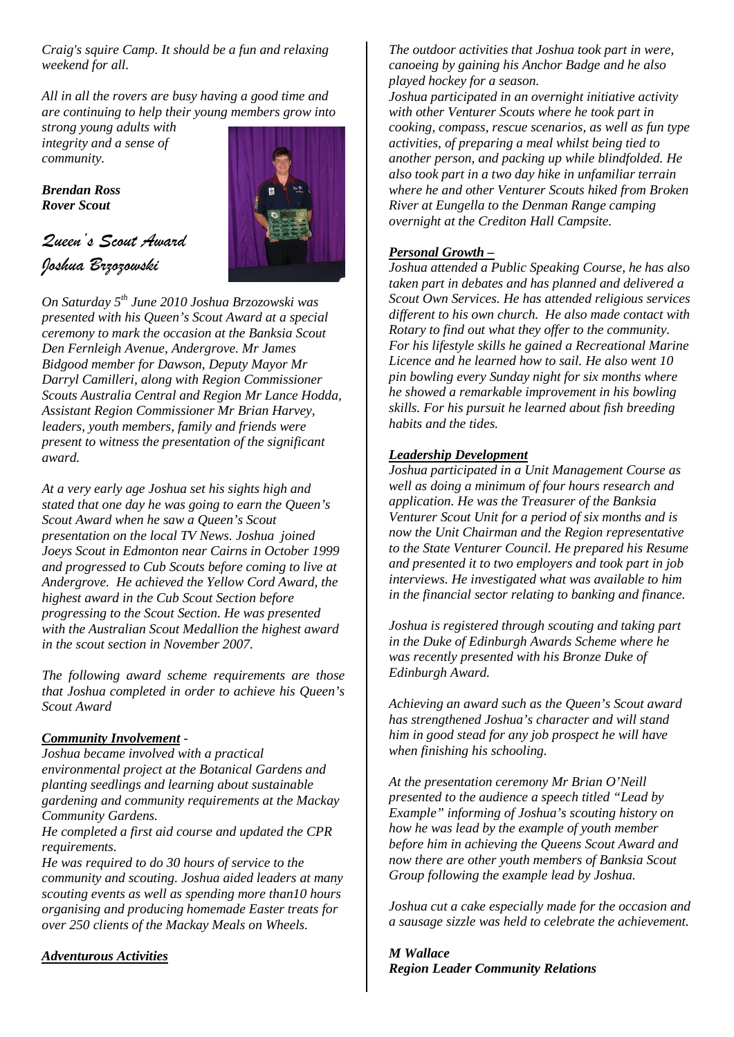*Craig's squire Camp. It should be a fun and relaxing weekend for all.*

*All in all the rovers are busy having a good time and are continuing to help their young members grow into* 

*strong young adults with integrity and a sense of community.*

*Brendan Ross Rover Scout*



*Queen's Scout Award Joshua Brzozowski*

*On Saturday 5th June 2010 Joshua Brzozowski was presented with his Queen's Scout Award at a special ceremony to mark the occasion at the Banksia Scout Den Fernleigh Avenue, Andergrove. Mr James Bidgood member for Dawson, Deputy Mayor Mr Darryl Camilleri, along with Region Commissioner Scouts Australia Central and Region Mr Lance Hodda, Assistant Region Commissioner Mr Brian Harvey, leaders, youth members, family and friends were present to witness the presentation of the significant award.*

*At a very early age Joshua set his sights high and stated that one day he was going to earn the Queen's Scout Award when he saw a Queen's Scout presentation on the local TV News. Joshua joined Joeys Scout in Edmonton near Cairns in October 1999 and progressed to Cub Scouts before coming to live at Andergrove. He achieved the Yellow Cord Award, the highest award in the Cub Scout Section before progressing to the Scout Section. He was presented with the Australian Scout Medallion the highest award in the scout section in November 2007.* 

*The following award scheme requirements are those that Joshua completed in order to achieve his Queen's Scout Award*

#### *Community Involvement -*

*Joshua became involved with a practical environmental project at the Botanical Gardens and planting seedlings and learning about sustainable gardening and community requirements at the Mackay Community Gardens.* 

*He completed a first aid course and updated the CPR requirements.*

*He was required to do 30 hours of service to the community and scouting. Joshua aided leaders at many scouting events as well as spending more than10 hours organising and producing homemade Easter treats for over 250 clients of the Mackay Meals on Wheels.*

*Adventurous Activities* 

#### *The outdoor activities that Joshua took part in were, canoeing by gaining his Anchor Badge and he also played hockey for a season.*

*Joshua participated in an overnight initiative activity with other Venturer Scouts where he took part in cooking, compass, rescue scenarios, as well as fun type activities, of preparing a meal whilst being tied to another person, and packing up while blindfolded. He also took part in a two day hike in unfamiliar terrain where he and other Venturer Scouts hiked from Broken River at Eungella to the Denman Range camping overnight at the Crediton Hall Campsite.*

#### *Personal Growth –*

*Joshua attended a Public Speaking Course, he has also taken part in debates and has planned and delivered a Scout Own Services. He has attended religious services different to his own church. He also made contact with Rotary to find out what they offer to the community. For his lifestyle skills he gained a Recreational Marine Licence and he learned how to sail. He also went 10 pin bowling every Sunday night for six months where he showed a remarkable improvement in his bowling skills. For his pursuit he learned about fish breeding habits and the tides.*

#### *Leadership Development*

*Joshua participated in a Unit Management Course as well as doing a minimum of four hours research and application. He was the Treasurer of the Banksia Venturer Scout Unit for a period of six months and is now the Unit Chairman and the Region representative to the State Venturer Council. He prepared his Resume and presented it to two employers and took part in job interviews. He investigated what was available to him in the financial sector relating to banking and finance.* 

*Joshua is registered through scouting and taking part in the Duke of Edinburgh Awards Scheme where he was recently presented with his Bronze Duke of Edinburgh Award.*

*Achieving an award such as the Queen's Scout award has strengthened Joshua's character and will stand him in good stead for any job prospect he will have when finishing his schooling.* 

*At the presentation ceremony Mr Brian O'Neill presented to the audience a speech titled "Lead by Example" informing of Joshua's scouting history on how he was lead by the example of youth member before him in achieving the Queens Scout Award and now there are other youth members of Banksia Scout Group following the example lead by Joshua.*

*Joshua cut a cake especially made for the occasion and a sausage sizzle was held to celebrate the achievement.*

*M Wallace Region Leader Community Relations*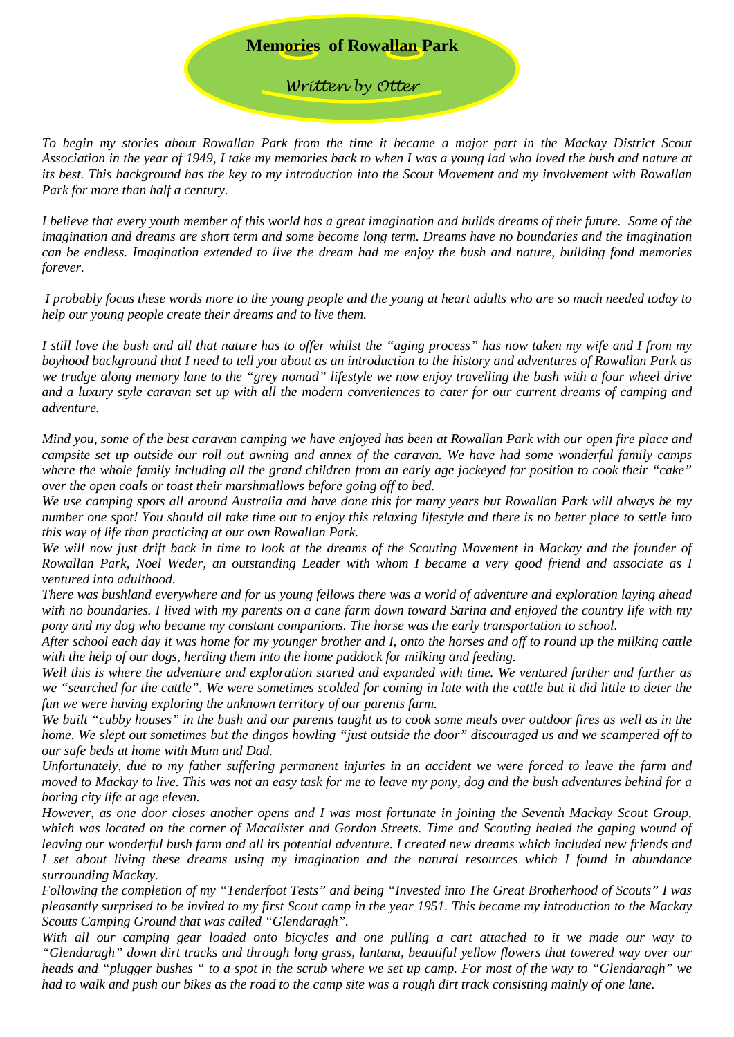## **Memories of Rowallan Park**

*Written by Otter*

*To begin my stories about Rowallan Park from the time it became a major part in the Mackay District Scout Association in the year of 1949, I take my memories back to when I was a young lad who loved the bush and nature at its best. This background has the key to my introduction into the Scout Movement and my involvement with Rowallan Park for more than half a century.*

*I believe that every youth member of this world has a great imagination and builds dreams of their future. Some of the imagination and dreams are short term and some become long term. Dreams have no boundaries and the imagination can be endless. Imagination extended to live the dream had me enjoy the bush and nature, building fond memories forever.* 

*I probably focus these words more to the young people and the young at heart adults who are so much needed today to help our young people create their dreams and to live them.* 

*I still love the bush and all that nature has to offer whilst the "aging process" has now taken my wife and I from my boyhood background that I need to tell you about as an introduction to the history and adventures of Rowallan Park as we trudge along memory lane to the "grey nomad" lifestyle we now enjoy travelling the bush with a four wheel drive and a luxury style caravan set up with all the modern conveniences to cater for our current dreams of camping and adventure.* 

*Mind you, some of the best caravan camping we have enjoyed has been at Rowallan Park with our open fire place and campsite set up outside our roll out awning and annex of the caravan. We have had some wonderful family camps where the whole family including all the grand children from an early age jockeyed for position to cook their "cake" over the open coals or toast their marshmallows before going off to bed.*

*We use camping spots all around Australia and have done this for many years but Rowallan Park will always be my number one spot! You should all take time out to enjoy this relaxing lifestyle and there is no better place to settle into this way of life than practicing at our own Rowallan Park.*

*We will now just drift back in time to look at the dreams of the Scouting Movement in Mackay and the founder of Rowallan Park, Noel Weder, an outstanding Leader with whom I became a very good friend and associate as I ventured into adulthood.*

*There was bushland everywhere and for us young fellows there was a world of adventure and exploration laying ahead with no boundaries. I lived with my parents on a cane farm down toward Sarina and enjoyed the country life with my pony and my dog who became my constant companions. The horse was the early transportation to school.*

*After school each day it was home for my younger brother and I, onto the horses and off to round up the milking cattle with the help of our dogs, herding them into the home paddock for milking and feeding.*

*Well this is where the adventure and exploration started and expanded with time. We ventured further and further as we "searched for the cattle". We were sometimes scolded for coming in late with the cattle but it did little to deter the fun we were having exploring the unknown territory of our parents farm.* 

*We built "cubby houses" in the bush and our parents taught us to cook some meals over outdoor fires as well as in the home. We slept out sometimes but the dingos howling "just outside the door" discouraged us and we scampered off to our safe beds at home with Mum and Dad.*

*Unfortunately, due to my father suffering permanent injuries in an accident we were forced to leave the farm and moved to Mackay to live. This was not an easy task for me to leave my pony, dog and the bush adventures behind for a boring city life at age eleven.* 

*However, as one door closes another opens and I was most fortunate in joining the Seventh Mackay Scout Group,*  which was located on the corner of Macalister and Gordon Streets. Time and Scouting healed the gaping wound of *leaving our wonderful bush farm and all its potential adventure. I created new dreams which included new friends and I set about living these dreams using my imagination and the natural resources which I found in abundance surrounding Mackay.* 

*Following the completion of my "Tenderfoot Tests" and being "Invested into The Great Brotherhood of Scouts" I was pleasantly surprised to be invited to my first Scout camp in the year 1951. This became my introduction to the Mackay Scouts Camping Ground that was called "Glendaragh".* 

*With all our camping gear loaded onto bicycles and one pulling a cart attached to it we made our way to "Glendaragh" down dirt tracks and through long grass, lantana, beautiful yellow flowers that towered way over our heads and "plugger bushes " to a spot in the scrub where we set up camp. For most of the way to "Glendaragh" we had to walk and push our bikes as the road to the camp site was a rough dirt track consisting mainly of one lane.*